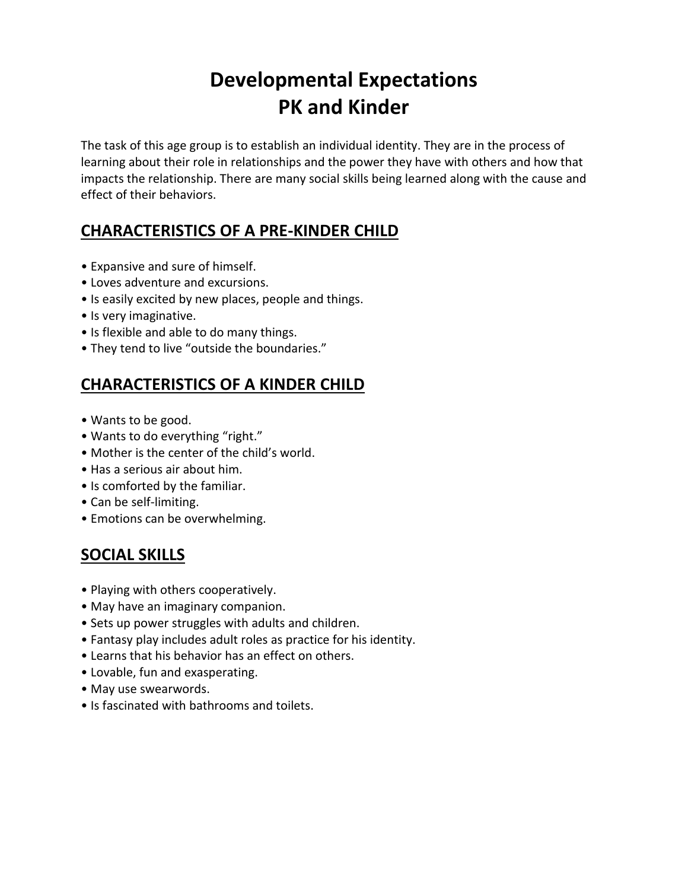# **Developmental Expectations PK and Kinder**

The task of this age group is to establish an individual identity. They are in the process of learning about their role in relationships and the power they have with others and how that impacts the relationship. There are many social skills being learned along with the cause and effect of their behaviors.

### **CHARACTERISTICS OF A PRE-KINDER CHILD**

- Expansive and sure of himself.
- Loves adventure and excursions.
- Is easily excited by new places, people and things.
- Is very imaginative.
- Is flexible and able to do many things.
- They tend to live "outside the boundaries."

### **CHARACTERISTICS OF A KINDER CHILD**

- Wants to be good.
- Wants to do everything "right."
- Mother is the center of the child's world.
- Has a serious air about him.
- Is comforted by the familiar.
- Can be self-limiting.
- Emotions can be overwhelming.

# **SOCIAL SKILLS**

- Playing with others cooperatively.
- May have an imaginary companion.
- Sets up power struggles with adults and children.
- Fantasy play includes adult roles as practice for his identity.
- Learns that his behavior has an effect on others.
- Lovable, fun and exasperating.
- May use swearwords.
- Is fascinated with bathrooms and toilets.